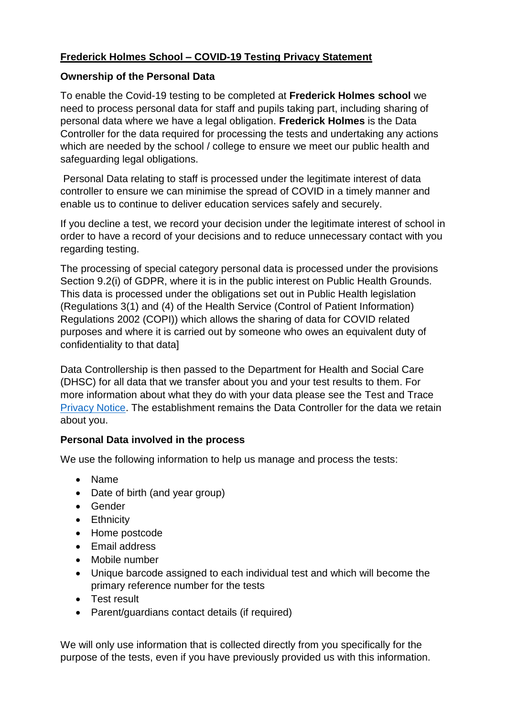## **Frederick Holmes School – COVID-19 Testing Privacy Statement**

#### **Ownership of the Personal Data**

To enable the Covid-19 testing to be completed at **Frederick Holmes school** we need to process personal data for staff and pupils taking part, including sharing of personal data where we have a legal obligation. **Frederick Holmes** is the Data Controller for the data required for processing the tests and undertaking any actions which are needed by the school / college to ensure we meet our public health and safeguarding legal obligations.

Personal Data relating to staff is processed under the legitimate interest of data controller to ensure we can minimise the spread of COVID in a timely manner and enable us to continue to deliver education services safely and securely.

If you decline a test, we record your decision under the legitimate interest of school in order to have a record of your decisions and to reduce unnecessary contact with you regarding testing.

The processing of special category personal data is processed under the provisions Section 9.2(i) of GDPR, where it is in the public interest on Public Health Grounds. This data is processed under the obligations set out in Public Health legislation (Regulations 3(1) and (4) of the Health Service (Control of Patient Information) Regulations 2002 (COPI)) which allows the sharing of data for COVID related purposes and where it is carried out by someone who owes an equivalent duty of confidentiality to that data]

Data Controllership is then passed to the Department for Health and Social Care (DHSC) for all data that we transfer about you and your test results to them. For more information about what they do with your data please see the Test and Trace [Privacy Notice.](https://contact-tracing.phe.gov.uk/help/privacy-notice) The establishment remains the Data Controller for the data we retain about you.

### **Personal Data involved in the process**

We use the following information to help us manage and process the tests:

- Name
- Date of birth (and year group)
- Gender
- Ethnicity
- Home postcode
- Email address
- Mobile number
- Unique barcode assigned to each individual test and which will become the primary reference number for the tests
- Test result
- Parent/guardians contact details (if required)

We will only use information that is collected directly from you specifically for the purpose of the tests, even if you have previously provided us with this information.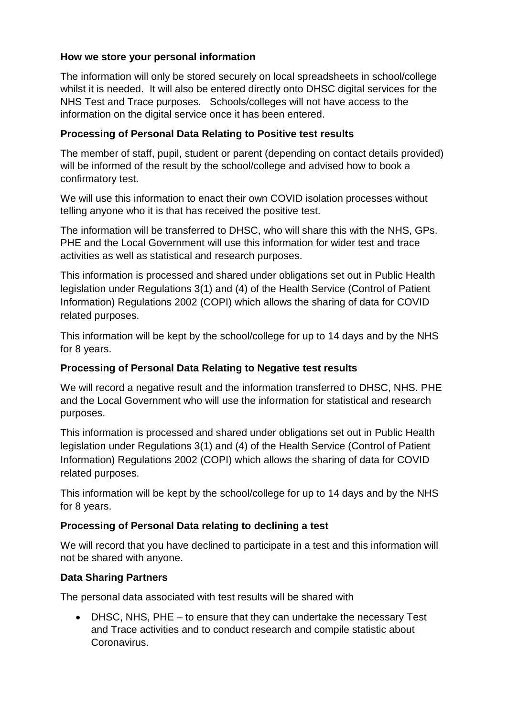### **How we store your personal information**

The information will only be stored securely on local spreadsheets in school/college whilst it is needed. It will also be entered directly onto DHSC digital services for the NHS Test and Trace purposes. Schools/colleges will not have access to the information on the digital service once it has been entered.

### **Processing of Personal Data Relating to Positive test results**

The member of staff, pupil, student or parent (depending on contact details provided) will be informed of the result by the school/college and advised how to book a confirmatory test.

We will use this information to enact their own COVID isolation processes without telling anyone who it is that has received the positive test.

The information will be transferred to DHSC, who will share this with the NHS, GPs. PHE and the Local Government will use this information for wider test and trace activities as well as statistical and research purposes.

This information is processed and shared under obligations set out in Public Health legislation under Regulations 3(1) and (4) of the Health Service (Control of Patient Information) Regulations 2002 (COPI) which allows the sharing of data for COVID related purposes.

This information will be kept by the school/college for up to 14 days and by the NHS for 8 years.

### **Processing of Personal Data Relating to Negative test results**

We will record a negative result and the information transferred to DHSC, NHS. PHE and the Local Government who will use the information for statistical and research purposes.

This information is processed and shared under obligations set out in Public Health legislation under Regulations 3(1) and (4) of the Health Service (Control of Patient Information) Regulations 2002 (COPI) which allows the sharing of data for COVID related purposes.

This information will be kept by the school/college for up to 14 days and by the NHS for 8 years.

# **Processing of Personal Data relating to declining a test**

We will record that you have declined to participate in a test and this information will not be shared with anyone.

# **Data Sharing Partners**

The personal data associated with test results will be shared with

• DHSC, NHS, PHE – to ensure that they can undertake the necessary Test and Trace activities and to conduct research and compile statistic about Coronavirus.